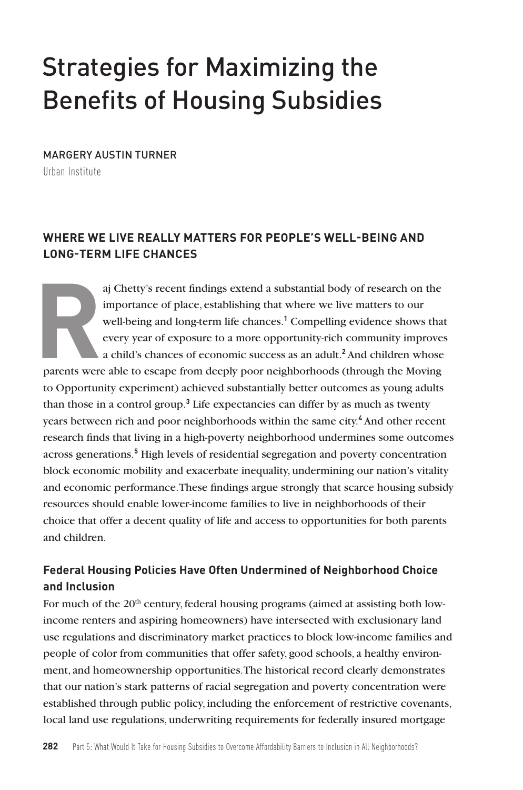# Strategies for Maximizing the Benefits of Housing Subsidies

MARGERY AUSTIN TURNER Urban Institute

### **WHERE WE LIVE REALLY MATTERS FOR PEOPLE'S WELL-BEING AND LONG-TERM LIFE CHANCES**

aj Chetty's recent findings extend a substantial body of research on the<br>importance of place, establishing that where we live matters to our<br>well-being and long-term life chances.<sup>1</sup> Compelling evidence shows tha<br>every yea importance of place, establishing that where we live matters to our well-being and long-term life chances.**<sup>1</sup>** Compelling evidence shows that every year of exposure to a more opportunity-rich community improves a child's chances of economic success as an adult.**<sup>2</sup>** And children whose parents were able to escape from deeply poor neighborhoods (through the Moving to Opportunity experiment) achieved substantially better outcomes as young adults than those in a control group.**<sup>3</sup>** Life expectancies can differ by as much as twenty years between rich and poor neighborhoods within the same city.<sup>4</sup> And other recent research finds that living in a high-poverty neighborhood undermines some outcomes across generations.<sup>5</sup> High levels of residential segregation and poverty concentration block economic mobility and exacerbate inequality, undermining our nation's vitality and economic performance. These findings argue strongly that scarce housing subsidy resources should enable lower-income families to live in neighborhoods of their choice that offer a decent quality of life and access to opportunities for both parents and children.

### **Federal Housing Policies Have Often Undermined of Neighborhood Choice and Inclusion**

For much of the 20<sup>th</sup> century, federal housing programs (aimed at assisting both lowincome renters and aspiring homeowners) have intersected with exclusionary land use regulations and discriminatory market practices to block low-income families and people of color from communities that offer safety, good schools, a healthy environment, and homeownership opportunities. The historical record clearly demonstrates that our nation's stark patterns of racial segregation and poverty concentration were established through public policy, including the enforcement of restrictive covenants, local land use regulations, underwriting requirements for federally insured mortgage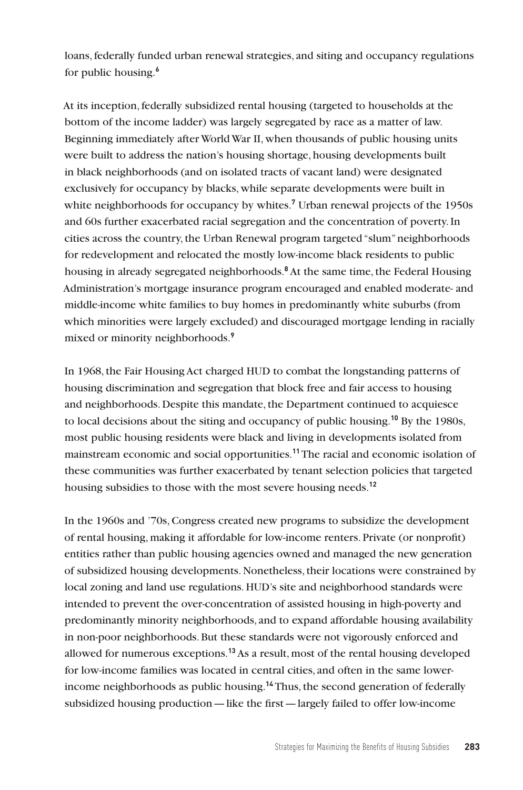loans, federally funded urban renewal strategies, and siting and occupancy regulations for public housing.**<sup>6</sup>**

At its inception, federally subsidized rental housing (targeted to households at the bottom of the income ladder) was largely segregated by race as a matter of law. Beginning immediately after World War II, when thousands of public housing units were built to address the nation's housing shortage, housing developments built in black neighborhoods (and on isolated tracts of vacant land) were designated exclusively for occupancy by blacks, while separate developments were built in white neighborhoods for occupancy by whites.**<sup>7</sup>** Urban renewal projects of the 1950s and 60s further exacerbated racial segregation and the concentration of poverty. In cities across the country, the Urban Renewal program targeted "slum" neighborhoods for redevelopment and relocated the mostly low-income black residents to public housing in already segregated neighborhoods.**<sup>8</sup>** At the same time, the Federal Housing Administration's mortgage insurance program encouraged and enabled moderate- and middle-income white families to buy homes in predominantly white suburbs (from which minorities were largely excluded) and discouraged mortgage lending in racially mixed or minority neighborhoods.**<sup>9</sup>**

In 1968, the Fair Housing Act charged HUD to combat the longstanding patterns of housing discrimination and segregation that block free and fair access to housing and neighborhoods. Despite this mandate, the Department continued to acquiesce to local decisions about the siting and occupancy of public housing.**<sup>10</sup>** By the 1980s, most public housing residents were black and living in developments isolated from mainstream economic and social opportunities.**<sup>11</sup>** The racial and economic isolation of these communities was further exacerbated by tenant selection policies that targeted housing subsidies to those with the most severe housing needs.**<sup>12</sup>**

In the 1960s and '70s, Congress created new programs to subsidize the development of rental housing, making it affordable for low-income renters. Private (or nonprofit) entities rather than public housing agencies owned and managed the new generation of subsidized housing developments. Nonetheless, their locations were constrained by local zoning and land use regulations. HUD's site and neighborhood standards were intended to prevent the over-concentration of assisted housing in high-poverty and predominantly minority neighborhoods, and to expand affordable housing availability in non-poor neighborhoods. But these standards were not vigorously enforced and allowed for numerous exceptions.**<sup>13</sup>** As a result, most of the rental housing developed for low-income families was located in central cities, and often in the same lowerincome neighborhoods as public housing.**<sup>14</sup>** Thus, the second generation of federally subsidized housing production—like the first—largely failed to offer low-income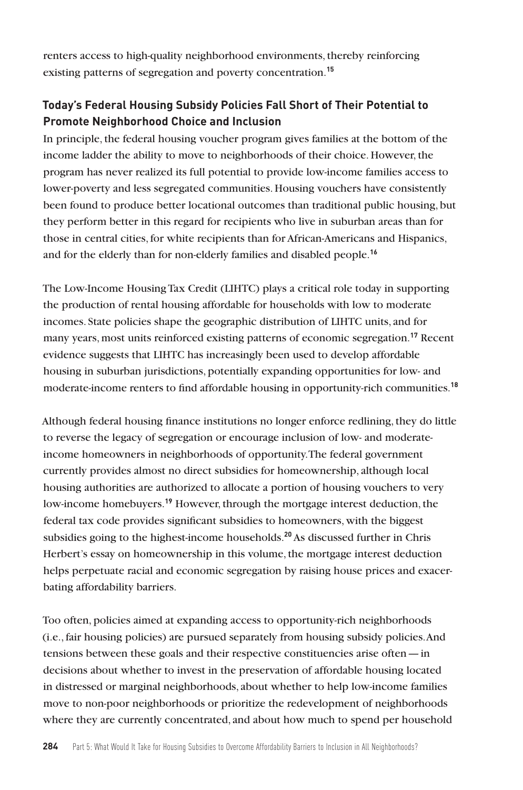renters access to high-quality neighborhood environments, thereby reinforcing existing patterns of segregation and poverty concentration.**<sup>15</sup>**

### **Today's Federal Housing Subsidy Policies Fall Short of Their Potential to Promote Neighborhood Choice and Inclusion**

In principle, the federal housing voucher program gives families at the bottom of the income ladder the ability to move to neighborhoods of their choice. However, the program has never realized its full potential to provide low-income families access to lower-poverty and less segregated communities. Housing vouchers have consistently been found to produce better locational outcomes than traditional public housing, but they perform better in this regard for recipients who live in suburban areas than for those in central cities, for white recipients than for African-Americans and Hispanics, and for the elderly than for non-elderly families and disabled people.**<sup>16</sup>**

The Low-Income Housing Tax Credit (LIHTC) plays a critical role today in supporting the production of rental housing affordable for households with low to moderate incomes. State policies shape the geographic distribution of LIHTC units, and for many years, most units reinforced existing patterns of economic segregation.**<sup>17</sup>** Recent evidence suggests that LIHTC has increasingly been used to develop affordable housing in suburban jurisdictions, potentially expanding opportunities for low- and moderate-income renters to find affordable housing in opportunity-rich communities.**<sup>18</sup>**

Although federal housing finance institutions no longer enforce redlining, they do little to reverse the legacy of segregation or encourage inclusion of low- and moderateincome homeowners in neighborhoods of opportunity. The federal government currently provides almost no direct subsidies for homeownership, although local housing authorities are authorized to allocate a portion of housing vouchers to very low-income homebuyers.**<sup>19</sup>** However, through the mortgage interest deduction, the federal tax code provides significant subsidies to homeowners, with the biggest subsidies going to the highest-income households.**<sup>20</sup>** As discussed further in Chris Herbert's essay on homeownership in this volume, the mortgage interest deduction helps perpetuate racial and economic segregation by raising house prices and exacerbating affordability barriers.

Too often, policies aimed at expanding access to opportunity-rich neighborhoods (i.e., fair housing policies) are pursued separately from housing subsidy policies. And tensions between these goals and their respective constituencies arise often—in decisions about whether to invest in the preservation of affordable housing located in distressed or marginal neighborhoods, about whether to help low-income families move to non-poor neighborhoods or prioritize the redevelopment of neighborhoods where they are currently concentrated, and about how much to spend per household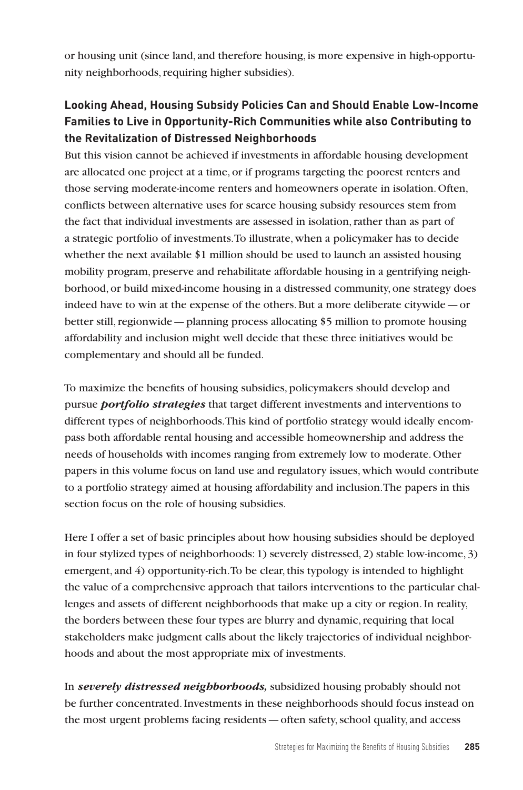or housing unit (since land, and therefore housing, is more expensive in high-opportunity neighborhoods, requiring higher subsidies).

## **Looking Ahead, Housing Subsidy Policies Can and Should Enable Low-Income Families to Live in Opportunity-Rich Communities while also Contributing to the Revitalization of Distressed Neighborhoods**

But this vision cannot be achieved if investments in affordable housing development are allocated one project at a time, or if programs targeting the poorest renters and those serving moderate-income renters and homeowners operate in isolation. Often, conflicts between alternative uses for scarce housing subsidy resources stem from the fact that individual investments are assessed in isolation, rather than as part of a strategic portfolio of investments. To illustrate, when a policymaker has to decide whether the next available \$1 million should be used to launch an assisted housing mobility program, preserve and rehabilitate affordable housing in a gentrifying neighborhood, or build mixed-income housing in a distressed community, one strategy does indeed have to win at the expense of the others. But a more deliberate citywide—or better still, regionwide—planning process allocating \$5 million to promote housing affordability and inclusion might well decide that these three initiatives would be complementary and should all be funded.

To maximize the benefits of housing subsidies, policymakers should develop and pursue *portfolio strategies* that target different investments and interventions to different types of neighborhoods. This kind of portfolio strategy would ideally encompass both affordable rental housing and accessible homeownership and address the needs of households with incomes ranging from extremely low to moderate. Other papers in this volume focus on land use and regulatory issues, which would contribute to a portfolio strategy aimed at housing affordability and inclusion. The papers in this section focus on the role of housing subsidies.

Here I offer a set of basic principles about how housing subsidies should be deployed in four stylized types of neighborhoods: 1) severely distressed, 2) stable low-income, 3) emergent, and 4) opportunity-rich. To be clear, this typology is intended to highlight the value of a comprehensive approach that tailors interventions to the particular challenges and assets of different neighborhoods that make up a city or region. In reality, the borders between these four types are blurry and dynamic, requiring that local stakeholders make judgment calls about the likely trajectories of individual neighborhoods and about the most appropriate mix of investments.

In *severely distressed neighborhoods,* subsidized housing probably should not be further concentrated. Investments in these neighborhoods should focus instead on the most urgent problems facing residents—often safety, school quality, and access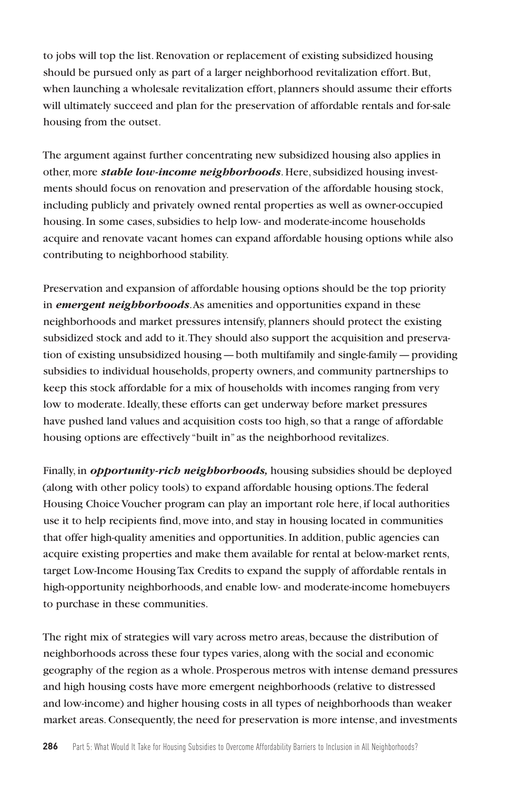to jobs will top the list. Renovation or replacement of existing subsidized housing should be pursued only as part of a larger neighborhood revitalization effort. But, when launching a wholesale revitalization effort, planners should assume their efforts will ultimately succeed and plan for the preservation of affordable rentals and for-sale housing from the outset.

The argument against further concentrating new subsidized housing also applies in other, more *stable low-income neighborhoods*. Here, subsidized housing investments should focus on renovation and preservation of the affordable housing stock, including publicly and privately owned rental properties as well as owner-occupied housing. In some cases, subsidies to help low- and moderate-income households acquire and renovate vacant homes can expand affordable housing options while also contributing to neighborhood stability.

Preservation and expansion of affordable housing options should be the top priority in *emergent neighborhoods*. As amenities and opportunities expand in these neighborhoods and market pressures intensify, planners should protect the existing subsidized stock and add to it. They should also support the acquisition and preservation of existing unsubsidized housing—both multifamily and single-family—providing subsidies to individual households, property owners, and community partnerships to keep this stock affordable for a mix of households with incomes ranging from very low to moderate. Ideally, these efforts can get underway before market pressures have pushed land values and acquisition costs too high, so that a range of affordable housing options are effectively "built in" as the neighborhood revitalizes.

Finally, in *opportunity-rich neighborhoods,* housing subsidies should be deployed (along with other policy tools) to expand affordable housing options. The federal Housing Choice Voucher program can play an important role here, if local authorities use it to help recipients find, move into, and stay in housing located in communities that offer high-quality amenities and opportunities. In addition, public agencies can acquire existing properties and make them available for rental at below-market rents, target Low-Income Housing Tax Credits to expand the supply of affordable rentals in high-opportunity neighborhoods, and enable low- and moderate-income homebuyers to purchase in these communities.

The right mix of strategies will vary across metro areas, because the distribution of neighborhoods across these four types varies, along with the social and economic geography of the region as a whole. Prosperous metros with intense demand pressures and high housing costs have more emergent neighborhoods (relative to distressed and low-income) and higher housing costs in all types of neighborhoods than weaker market areas. Consequently, the need for preservation is more intense, and investments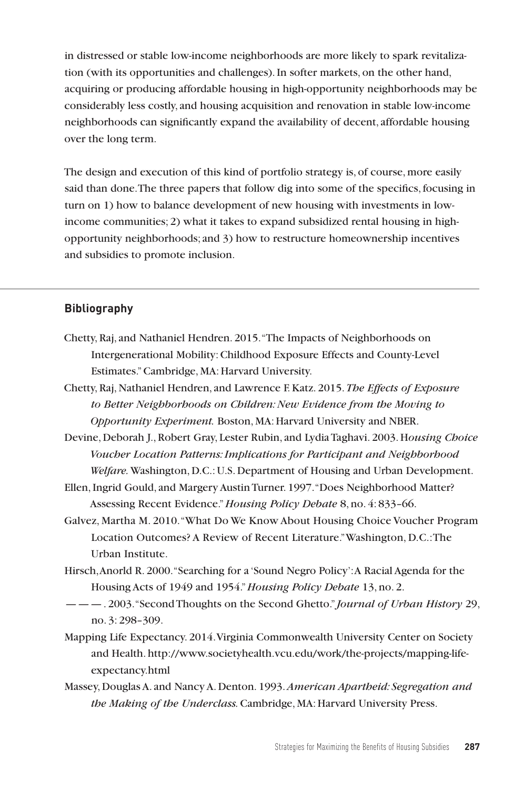in distressed or stable low-income neighborhoods are more likely to spark revitalization (with its opportunities and challenges). In softer markets, on the other hand, acquiring or producing affordable housing in high-opportunity neighborhoods may be considerably less costly, and housing acquisition and renovation in stable low-income neighborhoods can significantly expand the availability of decent, affordable housing over the long term.

The design and execution of this kind of portfolio strategy is, of course, more easily said than done. The three papers that follow dig into some of the specifics, focusing in turn on 1) how to balance development of new housing with investments in lowincome communities; 2) what it takes to expand subsidized rental housing in highopportunity neighborhoods; and 3) how to restructure homeownership incentives and subsidies to promote inclusion.

#### **Bibliography**

- Chetty, Raj, and Nathaniel Hendren. 2015. "The Impacts of Neighborhoods on Intergenerational Mobility: Childhood Exposure Effects and County-Level Estimates." Cambridge, MA: Harvard University.
- Chetty, Raj, Nathaniel Hendren, and Lawrence F. Katz. 2015. *The Effects of Exposure to Better Neighborhoods on Children: New Evidence from the Moving to Opportunity Experiment.* Boston, MA: Harvard University and NBER.
- Devine, Deborah J., Robert Gray, Lester Rubin, and Lydia Taghavi. 2003. H*ousing Choice Voucher Location Patterns: Implications for Participant and Neighborhood Welfare.* Washington, D.C.: U.S. Department of Housing and Urban Development.
- Ellen, Ingrid Gould, and Margery Austin Turner. 1997. "Does Neighborhood Matter? Assessing Recent Evidence." *Housing Policy Debate* 8, no. 4: 833–66.
- Galvez, Martha M. 2010. "What Do We Know About Housing Choice Voucher Program Location Outcomes? A Review of Recent Literature." Washington, D.C.: The Urban Institute.
- Hirsch, Anorld R. 2000. "Searching for a 'Sound Negro Policy': A Racial Agenda for the Housing Acts of 1949 and 1954." *Housing Policy Debate* 13, no. 2.
- ———. 2003. "Second Thoughts on the Second Ghetto." *Journal of Urban History* 29, no. 3: 298–309.
- Mapping Life Expectancy. 2014. Virginia Commonwealth University Center on Society and Health. http://www.societyhealth.vcu.edu/work/the-projects/mapping-lifeexpectancy.html
- Massey, Douglas A. and Nancy A. Denton. 1993. *American Apartheid: Segregation and the Making of the Underclass.* Cambridge, MA: Harvard University Press.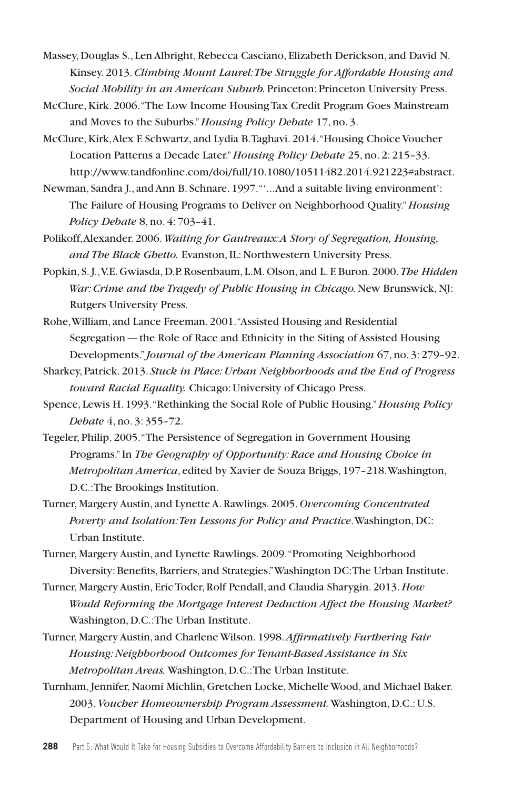Massey, Douglas S., Len Albright, Rebecca Casciano, Elizabeth Derickson, and David N. Kinsey. 2013. *Climbing Mount Laurel: The Struggle for Affordable Housing and Social Mobility in an American Suburb.* Princeton: Princeton University Press.

- McClure, Kirk. 2006. "The Low‐Income Housing Tax Credit Program Goes Mainstream and Moves to the Suburbs." *Housing Policy Debate* 17, no. 3.
- McClure, Kirk, Alex F. Schwartz, and Lydia B. Taghavi. 2014. "Housing Choice Voucher Location Patterns a Decade Later." *Housing Policy Debate* 25, no. 2: 215–33. http://www.tandfonline.com/doi/full/10.1080/10511482.2014.921223#abstract.
- Newman, Sandra J., and Ann B. Schnare. 1997. "'...And a suitable living environment': The Failure of Housing Programs to Deliver on Neighborhood Quality." *Housing Policy Debate* 8, no. 4: 703–41.
- Polikoff, Alexander. 2006. *Waiting for Gautreaux: A Story of Segregation, Housing, and The Black Ghetto.* Evanston, IL: Northwestern University Press.
- Popkin, S. J., V.E. Gwiasda, D.P. Rosenbaum, L.M. Olson, and L. F. Buron. 2000. *The Hidden War: Crime and the Tragedy of Public Housing in Chicago.* New Brunswick, NJ: Rutgers University Press.
- Rohe, William, and Lance Freeman. 2001. "Assisted Housing and Residential Segregation—the Role of Race and Ethnicity in the Siting of Assisted Housing Developments." *Journal of the American Planning Association* 67, no. 3: 279–92.
- Sharkey, Patrick. 2013. *Stuck in Place: Urban Neighborhoods and the End of Progress toward Racial Equality.* Chicago: University of Chicago Press.
- Spence, Lewis H. 1993. "Rethinking the Social Role of Public Housing." *Housing Policy Debate* 4, no. 3: 355–72.
- Tegeler, Philip. 2005. "The Persistence of Segregation in Government Housing Programs." In *The Geography of Opportunity: Race and Housing Choice in Metropolitan America*, edited by Xavier de Souza Briggs, 197–218. Washington, D.C.: The Brookings Institution.
- Turner, Margery Austin, and Lynette A. Rawlings. 2005. *Overcoming Concentrated Poverty and Isolation:Ten Lessons for Policy and Practice*. Washington, DC: Urban Institute.

Turner, Margery Austin, and Lynette Rawlings. 2009. "Promoting Neighborhood Diversity: Benefits, Barriers, and Strategies." Washington DC: The Urban Institute.

- Turner, Margery Austin, Eric Toder, Rolf Pendall, and Claudia Sharygin. 2013. *How Would Reforming the Mortgage Interest Deduction Affect the Housing Market?*  Washington, D.C.: The Urban Institute.
- Turner, Margery Austin, and Charlene Wilson. 1998. *Affirmatively Furthering Fair Housing: Neighborhood Outcomes for Tenant-Based Assistance in Six Metropolitan Areas.* Washington, D.C.: The Urban Institute.
- Turnham, Jennifer, Naomi Michlin, Gretchen Locke, Michelle Wood, and Michael Baker. 2003. *Voucher Homeownership Program Assessment.* Washington, D.C.: U.S. Department of Housing and Urban Development.